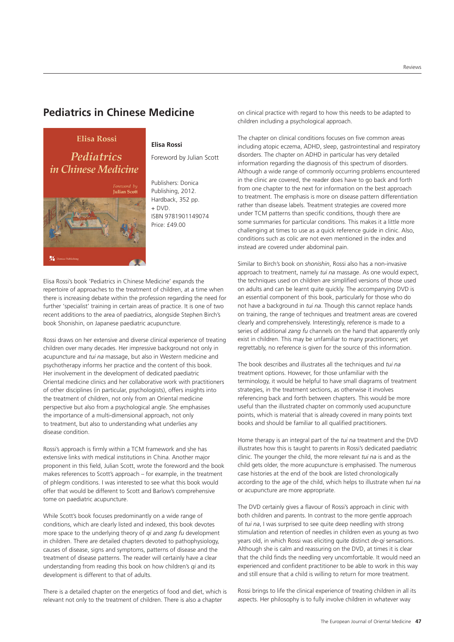## **Pediatrics in Chinese Medicine**

**Elisa Rossi** 

## **Pediatrics** *in Chinese Medicine*



## **Elisa Rossi**

Foreword by Julian Scott

Publishers: Donica Publishing, 2012. Hardback, 352 pp.  $+$  DVD. ISBN 9781901149074 Price: £49.00

Elisa Rossi's book 'Pediatrics in Chinese Medicine' expands the repertoire of approaches to the treatment of children, at a time when there is increasing debate within the profession regarding the need for further 'specialist' training in certain areas of practice. It is one of two recent additions to the area of paediatrics, alongside Stephen Birch's book Shonishin, on Japanese paediatric acupuncture.

Rossi draws on her extensive and diverse clinical experience of treating children over many decades. Her impressive background not only in acupuncture and *tui na* massage, but also in Western medicine and psychotherapy informs her practice and the content of this book. Her involvement in the development of dedicated paediatric Oriental medicine clinics and her collaborative work with practitioners of other disciplines (in particular, psychologists), offers insights into the treatment of children, not only from an Oriental medicine perspective but also from a psychological angle. She emphasises the importance of a multi-dimensional approach, not only to treatment, but also to understanding what underlies any disease condition.

Rossi's approach is firmly within a TCM framework and she has extensive links with medical institutions in China. Another major proponent in this field, Julian Scott, wrote the foreword and the book makes references to Scott's approach – for example, in the treatment of phlegm conditions. I was interested to see what this book would offer that would be different to Scott and Barlow's comprehensive tome on paediatric acupuncture.

While Scott's book focuses predominantly on a wide range of conditions, which are clearly listed and indexed, this book devotes more space to the underlying theory of *qi* and *zang fu* development in children. There are detailed chapters devoted to pathophysiology, causes of disease, signs and symptoms, patterns of disease and the treatment of disease patterns. The reader will certainly have a clear understanding from reading this book on how children's *qi* and its development is different to that of adults.

There is a detailed chapter on the energetics of food and diet, which is relevant not only to the treatment of children. There is also a chapter

on clinical practice with regard to how this needs to be adapted to children including a psychological approach.

The chapter on clinical conditions focuses on five common areas including atopic eczema, ADHD, sleep, gastrointestinal and respiratory disorders. The chapter on ADHD in particular has very detailed information regarding the diagnosis of this spectrum of disorders. Although a wide range of commonly occurring problems encountered in the clinic are covered, the reader does have to go back and forth from one chapter to the next for information on the best approach to treatment. The emphasis is more on disease pattern differentiation rather than disease labels. Treatment strategies are covered more under TCM patterns than specific conditions, though there are some summaries for particular conditions. This makes it a little more challenging at times to use as a quick reference guide in clinic. Also, conditions such as colic are not even mentioned in the index and instead are covered under abdominal pain.

Similar to Birch's book on *shonishin*, Rossi also has a non-invasive approach to treatment, namely *tui na* massage. As one would expect, the techniques used on children are simplified versions of those used on adults and can be learnt quite quickly. The accompanying DVD is an essential component of this book, particularly for those who do not have a background in *tui na*. Though this cannot replace hands on training, the range of techniques and treatment areas are covered clearly and comprehensively. Interestingly, reference is made to a series of additional *zang fu* channels on the hand that apparently only exist in children. This may be unfamiliar to many practitioners; yet regrettably, no reference is given for the source of this information.

The book describes and illustrates all the techniques and *tui na* treatment options. However, for those unfamiliar with the terminology, it would be helpful to have small diagrams of treatment strategies, in the treatment sections, as otherwise it involves referencing back and forth between chapters. This would be more useful than the illustrated chapter on commonly used acupuncture points, which is material that is already covered in many points text books and should be familiar to all qualified practitioners.

Home therapy is an integral part of the *tui na* treatment and the DVD illustrates how this is taught to parents in Rossi's dedicated paediatric clinic. The younger the child, the more relevant *tui na* is and as the child gets older, the more acupuncture is emphasised. The numerous case histories at the end of the book are listed chronologically according to the age of the child, which helps to illustrate when *tui na* or acupuncture are more appropriate.

The DVD certainly gives a flavour of Rossi's approach in clinic with both children and parents. In contrast to the more gentle approach of *tui na*, I was surprised to see quite deep needling with strong stimulation and retention of needles in children even as young as two years old, in which Rossi was eliciting quite distinct *de-qi* sensations. Although she is calm and reassuring on the DVD, at times it is clear that the child finds the needling very uncomfortable. It would need an experienced and confident practitioner to be able to work in this way and still ensure that a child is willing to return for more treatment.

Rossi brings to life the clinical experience of treating children in all its aspects. Her philosophy is to fully involve children in whatever way

Reviews